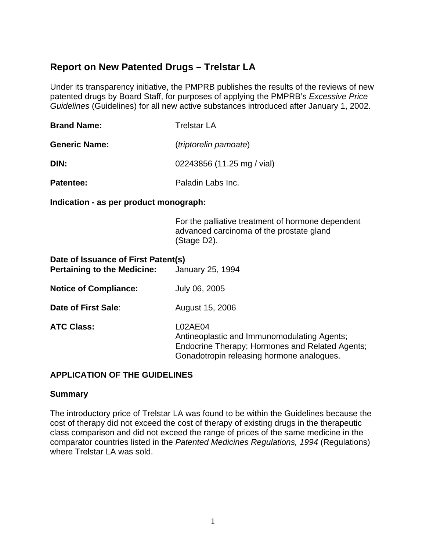# **Report on New Patented Drugs – Trelstar LA**

Under its transparency initiative, the PMPRB publishes the results of the reviews of new patented drugs by Board Staff, for purposes of applying the PMPRB's *Excessive Price Guidelines* (Guidelines) for all new active substances introduced after January 1, 2002.

| <b>Brand Name:</b>   | <b>Trelstar LA</b>           |  |  |
|----------------------|------------------------------|--|--|
| <b>Generic Name:</b> | <i>(triptorelin pamoate)</i> |  |  |
| DIN:                 | 02243856 (11.25 mg / vial)   |  |  |
| <b>Patentee:</b>     | Paladin Labs Inc.            |  |  |

**Indication - as per product monograph:** 

For the palliative treatment of hormone dependent advanced carcinoma of the prostate gland (Stage D2).

| Date of Issuance of First Patent(s)<br><b>Pertaining to the Medicine:</b> | January 25, 1994                                                                                                                                              |
|---------------------------------------------------------------------------|---------------------------------------------------------------------------------------------------------------------------------------------------------------|
| <b>Notice of Compliance:</b>                                              | July 06, 2005                                                                                                                                                 |
| Date of First Sale:                                                       | August 15, 2006                                                                                                                                               |
| <b>ATC Class:</b>                                                         | L02AE04<br>Antineoplastic and Immunomodulating Agents;<br><b>Endocrine Therapy; Hormones and Related Agents;</b><br>Gonadotropin releasing hormone analogues. |

# **APPLICATION OF THE GUIDELINES**

### **Summary**

The introductory price of Trelstar LA was found to be within the Guidelines because the cost of therapy did not exceed the cost of therapy of existing drugs in the therapeutic class comparison and did not exceed the range of prices of the same medicine in the comparator countries listed in the *Patented Medicines Regulations, 1994* (Regulations) where Trelstar LA was sold.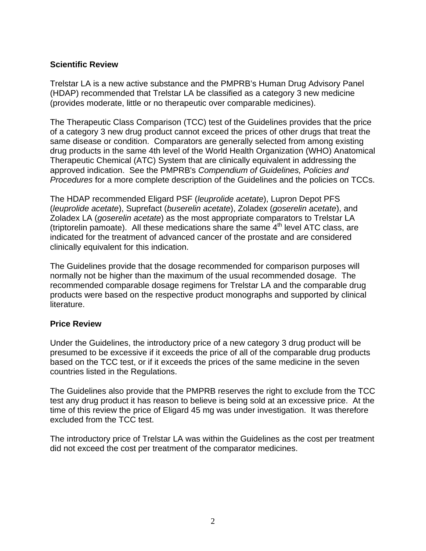# **Scientific Review**

Trelstar LA is a new active substance and the PMPRB's Human Drug Advisory Panel (HDAP) recommended that Trelstar LA be classified as a category 3 new medicine (provides moderate, little or no therapeutic over comparable medicines).

The Therapeutic Class Comparison (TCC) test of the Guidelines provides that the price of a category 3 new drug product cannot exceed the prices of other drugs that treat the same disease or condition. Comparators are generally selected from among existing drug products in the same 4th level of the World Health Organization (WHO) Anatomical Therapeutic Chemical (ATC) System that are clinically equivalent in addressing the approved indication. See the PMPRB's *Compendium of Guidelines, Policies and Procedures* for a more complete description of the Guidelines and the policies on TCCs.

The HDAP recommended Eligard PSF (*leuprolide acetate*), Lupron Depot PFS (*leuprolide acetate*), Suprefact (*buserelin acetate*), Zoladex (*goserelin acetate*), and Zoladex LA (*goserelin acetate*) as the most appropriate comparators to Trelstar LA (triptorelin pamoate). All these medications share the same  $4<sup>th</sup>$  level ATC class, are indicated for the treatment of advanced cancer of the prostate and are considered clinically equivalent for this indication.

The Guidelines provide that the dosage recommended for comparison purposes will normally not be higher than the maximum of the usual recommended dosage. The recommended comparable dosage regimens for Trelstar LA and the comparable drug products were based on the respective product monographs and supported by clinical literature.

### **Price Review**

Under the Guidelines, the introductory price of a new category 3 drug product will be presumed to be excessive if it exceeds the price of all of the comparable drug products based on the TCC test, or if it exceeds the prices of the same medicine in the seven countries listed in the Regulations.

The Guidelines also provide that the PMPRB reserves the right to exclude from the TCC test any drug product it has reason to believe is being sold at an excessive price. At the time of this review the price of Eligard 45 mg was under investigation. It was therefore excluded from the TCC test.

The introductory price of Trelstar LA was within the Guidelines as the cost per treatment did not exceed the cost per treatment of the comparator medicines.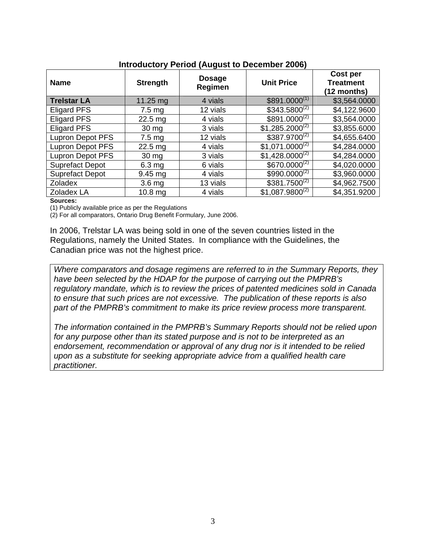| <b>Name</b>             | <b>Strength</b>   | <b>Dosage</b><br>Regimen | <b>Unit Price</b>   | Cost per<br><b>Treatment</b><br>$(12$ months) |
|-------------------------|-------------------|--------------------------|---------------------|-----------------------------------------------|
| <b>Trelstar LA</b>      | 11.25 $mg$        | 4 vials                  | $$891.0000^{(1)}$   | \$3,564.0000                                  |
| <b>Eligard PFS</b>      | $7.5 \text{ mg}$  | 12 vials                 | $$343.5800^{(2)}$   | \$4,122.9600                                  |
| <b>Eligard PFS</b>      | $22.5$ mg         | 4 vials                  | $$891.0000^{(2)}$   | \$3,564.0000                                  |
| <b>Eligard PFS</b>      | $30 \, mg$        | 3 vials                  | $$1,285.2000^{(2)}$ | \$3,855.6000                                  |
| <b>Lupron Depot PFS</b> | $7.5 \text{ mg}$  | 12 vials                 | $$387.9700^{(2)}$   | \$4,655.6400                                  |
| <b>Lupron Depot PFS</b> | $22.5$ mg         | 4 vials                  | $$1,071.0000^{(2)}$ | \$4,284.0000                                  |
| <b>Lupron Depot PFS</b> | $30 \text{ mg}$   | 3 vials                  | $$1,428.0000^{(2)}$ | \$4,284.0000                                  |
| <b>Suprefact Depot</b>  | $6.3$ mg          | 6 vials                  | $$670.0000^{(2)}$   | \$4,020.0000                                  |
| <b>Suprefact Depot</b>  | $9.45$ mg         | 4 vials                  | $$990.0000^{(2)}$   | \$3,960.0000                                  |
| <b>Zoladex</b>          | 3.6 <sub>mg</sub> | 13 vials                 | $$381.7500^{(2)}$   | \$4,962.7500                                  |
| Zoladex LA              | $10.8$ mg         | 4 vials                  | $$1,087.9800^{(2)}$ | \$4,351.9200                                  |

## **Introductory Period (August to December 2006)**

#### **Sources:**

(1) Publicly available price as per the Regulations

(2) For all comparators, Ontario Drug Benefit Formulary, June 2006.

In 2006, Trelstar LA was being sold in one of the seven countries listed in the Regulations, namely the United States. In compliance with the Guidelines, the Canadian price was not the highest price.

*Where comparators and dosage regimens are referred to in the Summary Reports, they have been selected by the HDAP for the purpose of carrying out the PMPRB's regulatory mandate, which is to review the prices of patented medicines sold in Canada to ensure that such prices are not excessive. The publication of these reports is also part of the PMPRB's commitment to make its price review process more transparent.* 

*The information contained in the PMPRB's Summary Reports should not be relied upon for any purpose other than its stated purpose and is not to be interpreted as an endorsement, recommendation or approval of any drug nor is it intended to be relied upon as a substitute for seeking appropriate advice from a qualified health care practitioner.*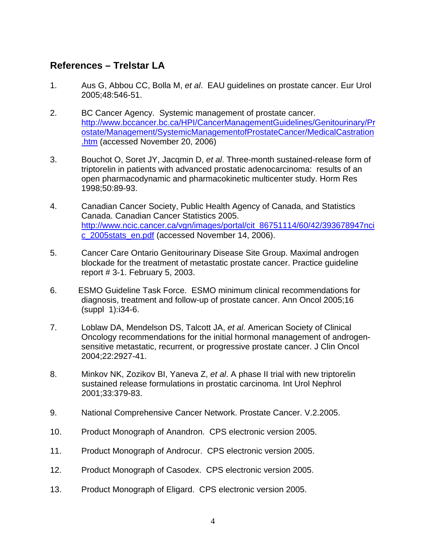# **References – Trelstar LA**

- 1. Aus G, Abbou CC, Bolla M, *et al*. EAU guidelines on prostate cancer. Eur Urol 2005;48:546-51.
- 2. BC Cancer Agency. Systemic management of prostate cancer. http://www.bccancer.bc.ca/HPI/CancerManagementGuidelines/Genitourinary/Pr ostate/Management/SystemicManagementofProstateCancer/MedicalCastration .htm (accessed November 20, 2006)
- 3. Bouchot O, Soret JY, Jacqmin D, *et al*. Three-month sustained-release form of triptorelin in patients with advanced prostatic adenocarcinoma: results of an open pharmacodynamic and pharmacokinetic multicenter study. Horm Res 1998;50:89-93.
- 4. Canadian Cancer Society, Public Health Agency of Canada, and Statistics Canada. Canadian Cancer Statistics 2005. http://www.ncic.cancer.ca/vgn/images/portal/cit\_86751114/60/42/393678947nci c\_2005stats\_en.pdf (accessed November 14, 2006).
- 5. Cancer Care Ontario Genitourinary Disease Site Group. Maximal androgen blockade for the treatment of metastatic prostate cancer. Practice guideline report # 3-1. February 5, 2003.
- 6. ESMO Guideline Task Force. ESMO minimum clinical recommendations for diagnosis, treatment and follow-up of prostate cancer. Ann Oncol 2005;16 (suppl 1):i34-6.
- 7. Loblaw DA, Mendelson DS, Talcott JA, *et al*. American Society of Clinical Oncology recommendations for the initial hormonal management of androgensensitive metastatic, recurrent, or progressive prostate cancer. J Clin Oncol 2004;22:2927-41.
- 8. Minkov NK, Zozikov BI, Yaneva Z, *et al*. A phase II trial with new triptorelin sustained release formulations in prostatic carcinoma. Int Urol Nephrol 2001;33:379-83.
- 9. National Comprehensive Cancer Network. Prostate Cancer. V.2.2005.
- 10. Product Monograph of Anandron. CPS electronic version 2005.
- 11. Product Monograph of Androcur. CPS electronic version 2005.
- 12. Product Monograph of Casodex. CPS electronic version 2005.
- 13. Product Monograph of Eligard. CPS electronic version 2005.